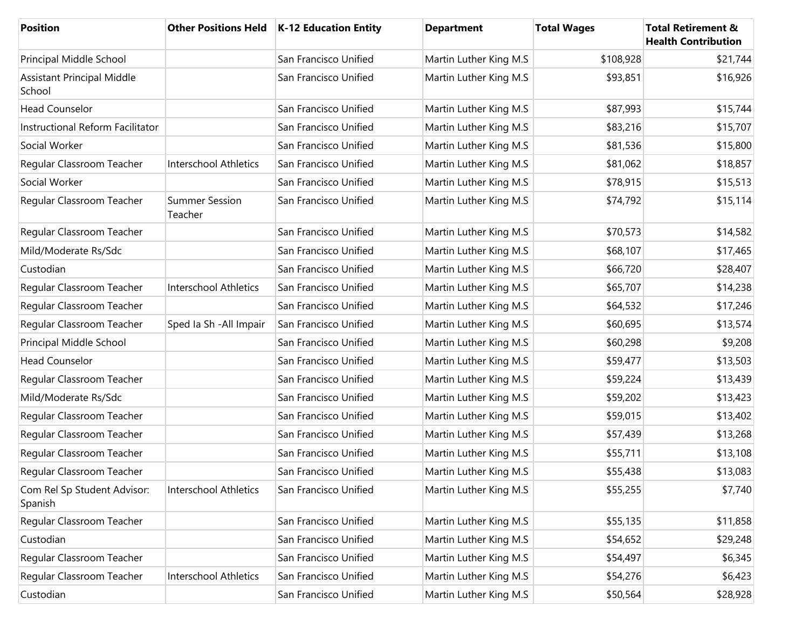| Position                                    | <b>Other Positions Held</b>      | K-12 Education Entity | <b>Department</b>      | <b>Total Wages</b> | <b>Total Retirement &amp;</b><br><b>Health Contribution</b> |
|---------------------------------------------|----------------------------------|-----------------------|------------------------|--------------------|-------------------------------------------------------------|
| Principal Middle School                     |                                  | San Francisco Unified | Martin Luther King M.S | \$108,928          | \$21,744                                                    |
| <b>Assistant Principal Middle</b><br>School |                                  | San Francisco Unified | Martin Luther King M.S | \$93,851           | \$16,926                                                    |
| <b>Head Counselor</b>                       |                                  | San Francisco Unified | Martin Luther King M.S | \$87,993           | \$15,744                                                    |
| Instructional Reform Facilitator            |                                  | San Francisco Unified | Martin Luther King M.S | \$83,216           | \$15,707                                                    |
| Social Worker                               |                                  | San Francisco Unified | Martin Luther King M.S | \$81,536           | \$15,800                                                    |
| Regular Classroom Teacher                   | <b>Interschool Athletics</b>     | San Francisco Unified | Martin Luther King M.S | \$81,062           | \$18,857                                                    |
| Social Worker                               |                                  | San Francisco Unified | Martin Luther King M.S | \$78,915           | \$15,513                                                    |
| Regular Classroom Teacher                   | <b>Summer Session</b><br>Teacher | San Francisco Unified | Martin Luther King M.S | \$74,792           | \$15,114                                                    |
| Regular Classroom Teacher                   |                                  | San Francisco Unified | Martin Luther King M.S | \$70,573           | \$14,582                                                    |
| Mild/Moderate Rs/Sdc                        |                                  | San Francisco Unified | Martin Luther King M.S | \$68,107           | \$17,465                                                    |
| Custodian                                   |                                  | San Francisco Unified | Martin Luther King M.S | \$66,720           | \$28,407                                                    |
| Regular Classroom Teacher                   | Interschool Athletics            | San Francisco Unified | Martin Luther King M.S | \$65,707           | \$14,238                                                    |
| Regular Classroom Teacher                   |                                  | San Francisco Unified | Martin Luther King M.S | \$64,532           | \$17,246                                                    |
| Regular Classroom Teacher                   | Sped Ia Sh - All Impair          | San Francisco Unified | Martin Luther King M.S | \$60,695           | \$13,574                                                    |
| Principal Middle School                     |                                  | San Francisco Unified | Martin Luther King M.S | \$60,298           | \$9,208                                                     |
| <b>Head Counselor</b>                       |                                  | San Francisco Unified | Martin Luther King M.S | \$59,477           | \$13,503                                                    |
| Regular Classroom Teacher                   |                                  | San Francisco Unified | Martin Luther King M.S | \$59,224           | \$13,439                                                    |
| Mild/Moderate Rs/Sdc                        |                                  | San Francisco Unified | Martin Luther King M.S | \$59,202           | \$13,423                                                    |
| Regular Classroom Teacher                   |                                  | San Francisco Unified | Martin Luther King M.S | \$59,015           | \$13,402                                                    |
| Regular Classroom Teacher                   |                                  | San Francisco Unified | Martin Luther King M.S | \$57,439           | \$13,268                                                    |
| Regular Classroom Teacher                   |                                  | San Francisco Unified | Martin Luther King M.S | \$55,711           | \$13,108                                                    |
| Regular Classroom Teacher                   |                                  | San Francisco Unified | Martin Luther King M.S | \$55,438           | \$13,083                                                    |
| Com Rel Sp Student Advisor:<br>Spanish      | Interschool Athletics            | San Francisco Unified | Martin Luther King M.S | \$55,255           | \$7,740                                                     |
| Regular Classroom Teacher                   |                                  | San Francisco Unified | Martin Luther King M.S | \$55,135           | \$11,858                                                    |
| Custodian                                   |                                  | San Francisco Unified | Martin Luther King M.S | \$54,652           | \$29,248                                                    |
| Regular Classroom Teacher                   |                                  | San Francisco Unified | Martin Luther King M.S | \$54,497           | \$6,345                                                     |
| Regular Classroom Teacher                   | <b>Interschool Athletics</b>     | San Francisco Unified | Martin Luther King M.S | \$54,276           | \$6,423                                                     |
| Custodian                                   |                                  | San Francisco Unified | Martin Luther King M.S | \$50,564           | \$28,928                                                    |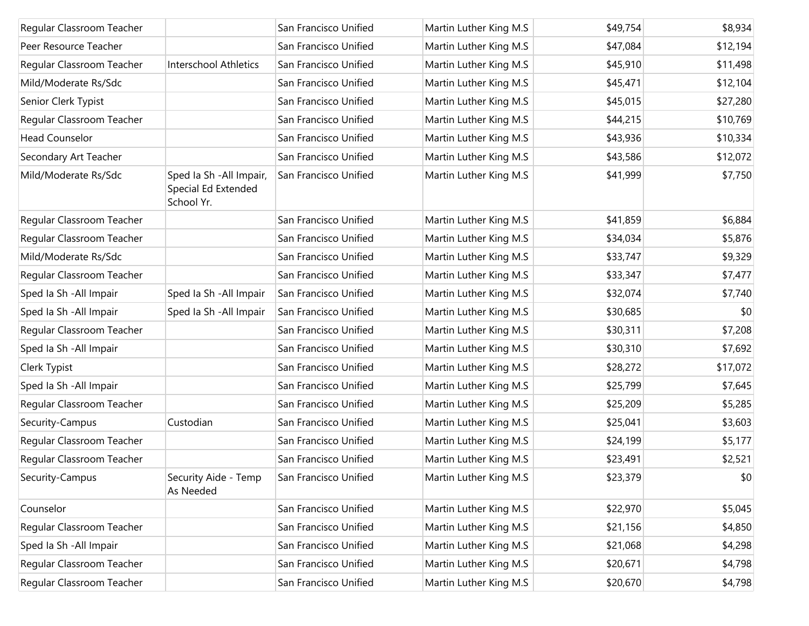| Regular Classroom Teacher |                                                               | San Francisco Unified | Martin Luther King M.S | \$49,754 | \$8,934  |
|---------------------------|---------------------------------------------------------------|-----------------------|------------------------|----------|----------|
| Peer Resource Teacher     |                                                               | San Francisco Unified | Martin Luther King M.S | \$47,084 | \$12,194 |
| Regular Classroom Teacher | Interschool Athletics                                         | San Francisco Unified | Martin Luther King M.S | \$45,910 | \$11,498 |
| Mild/Moderate Rs/Sdc      |                                                               | San Francisco Unified | Martin Luther King M.S | \$45,471 | \$12,104 |
| Senior Clerk Typist       |                                                               | San Francisco Unified | Martin Luther King M.S | \$45,015 | \$27,280 |
| Regular Classroom Teacher |                                                               | San Francisco Unified | Martin Luther King M.S | \$44,215 | \$10,769 |
| <b>Head Counselor</b>     |                                                               | San Francisco Unified | Martin Luther King M.S | \$43,936 | \$10,334 |
| Secondary Art Teacher     |                                                               | San Francisco Unified | Martin Luther King M.S | \$43,586 | \$12,072 |
| Mild/Moderate Rs/Sdc      | Sped Ia Sh - All Impair,<br>Special Ed Extended<br>School Yr. | San Francisco Unified | Martin Luther King M.S | \$41,999 | \$7,750  |
| Regular Classroom Teacher |                                                               | San Francisco Unified | Martin Luther King M.S | \$41,859 | \$6,884  |
| Regular Classroom Teacher |                                                               | San Francisco Unified | Martin Luther King M.S | \$34,034 | \$5,876  |
| Mild/Moderate Rs/Sdc      |                                                               | San Francisco Unified | Martin Luther King M.S | \$33,747 | \$9,329  |
| Regular Classroom Teacher |                                                               | San Francisco Unified | Martin Luther King M.S | \$33,347 | \$7,477  |
| Sped Ia Sh - All Impair   | Sped Ia Sh - All Impair                                       | San Francisco Unified | Martin Luther King M.S | \$32,074 | \$7,740  |
| Sped Ia Sh - All Impair   | Sped Ia Sh - All Impair                                       | San Francisco Unified | Martin Luther King M.S | \$30,685 | \$0      |
| Regular Classroom Teacher |                                                               | San Francisco Unified | Martin Luther King M.S | \$30,311 | \$7,208  |
| Sped Ia Sh - All Impair   |                                                               | San Francisco Unified | Martin Luther King M.S | \$30,310 | \$7,692  |
| Clerk Typist              |                                                               | San Francisco Unified | Martin Luther King M.S | \$28,272 | \$17,072 |
| Sped Ia Sh - All Impair   |                                                               | San Francisco Unified | Martin Luther King M.S | \$25,799 | \$7,645  |
| Regular Classroom Teacher |                                                               | San Francisco Unified | Martin Luther King M.S | \$25,209 | \$5,285  |
| Security-Campus           | Custodian                                                     | San Francisco Unified | Martin Luther King M.S | \$25,041 | \$3,603  |
| Regular Classroom Teacher |                                                               | San Francisco Unified | Martin Luther King M.S | \$24,199 | \$5,177  |
| Regular Classroom Teacher |                                                               | San Francisco Unified | Martin Luther King M.S | \$23,491 | \$2,521  |
| Security-Campus           | Security Aide - Temp<br>As Needed                             | San Francisco Unified | Martin Luther King M.S | \$23,379 | \$0      |
| Counselor                 |                                                               | San Francisco Unified | Martin Luther King M.S | \$22,970 | \$5,045  |
| Regular Classroom Teacher |                                                               | San Francisco Unified | Martin Luther King M.S | \$21,156 | \$4,850  |
| Sped Ia Sh - All Impair   |                                                               | San Francisco Unified | Martin Luther King M.S | \$21,068 | \$4,298  |
| Regular Classroom Teacher |                                                               | San Francisco Unified | Martin Luther King M.S | \$20,671 | \$4,798  |
| Regular Classroom Teacher |                                                               | San Francisco Unified | Martin Luther King M.S | \$20,670 | \$4,798  |